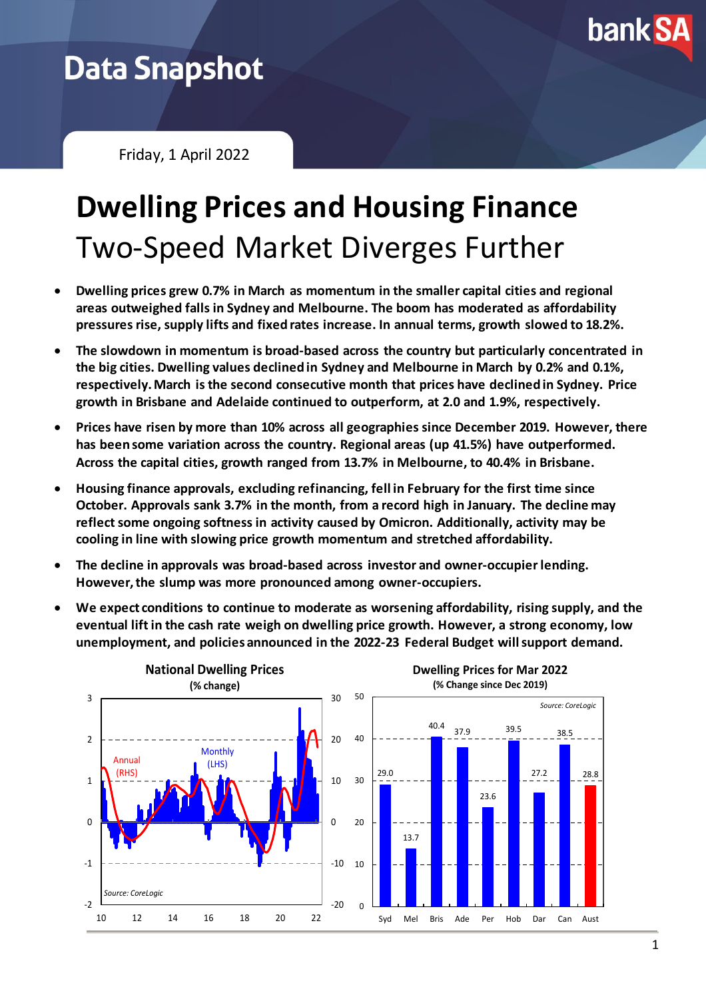

## **Data Snapshot**

Friday, 1 April 2022

# **Dwelling Prices and Housing Finance** Two-Speed Market Diverges Further

- **Dwelling prices grew 0.7% in March as momentum in the smaller capital cities and regional areas outweighed falls in Sydney and Melbourne. The boom has moderated as affordability pressures rise, supply lifts and fixed rates increase. In annual terms, growth slowed to 18.2%.**
- **The slowdown in momentum is broad-based across the country but particularly concentrated in the big cities. Dwelling values declined in Sydney and Melbourne in March by 0.2% and 0.1%, respectively. March is the second consecutive month that prices have declined in Sydney. Price growth in Brisbane and Adelaide continued to outperform, at 2.0 and 1.9%, respectively.**
- **Prices have risen by more than 10% across all geographies since December 2019. However, there has been some variation across the country. Regional areas (up 41.5%) have outperformed. Across the capital cities, growth ranged from 13.7% in Melbourne, to 40.4% in Brisbane.**
- **Housing finance approvals, excluding refinancing, fell in February for the first time since October. Approvals sank 3.7% in the month, from a record high in January. The decline may** reflect some ongoing softness in activity caused by Omicron. Additionally, activity may be **cooling in line with slowing price growth momentum and stretched affordability.**
- **The decline in approvals was broad-based across investor and owner-occupier lending. However, the slump was more pronounced among owner-occupiers.**
- **We expect conditions to continue to moderate as worsening affordability, rising supply, and the eventual lift in the cash rate weigh on dwelling price growth. However, a strong economy, low unemployment, and policies announced in the 2022-23 Federal Budget will support demand.**

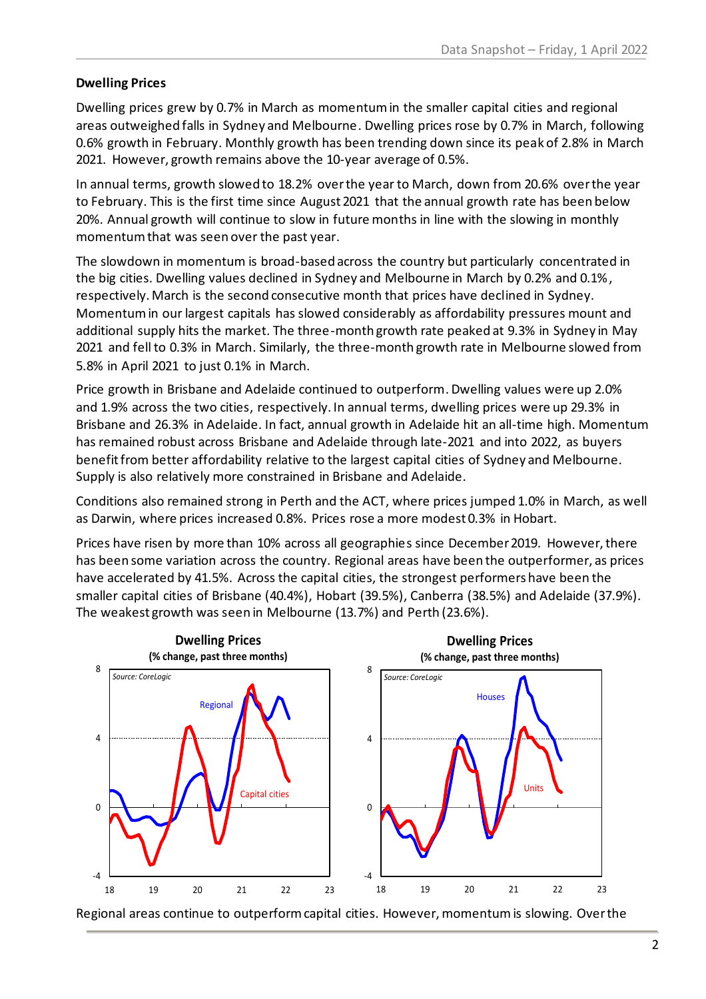#### **Dwelling Prices**

Dwelling prices grew by 0.7% in March as momentum in the smaller capital cities and regional areas outweighed falls in Sydney and Melbourne. Dwelling prices rose by 0.7% in March, following 0.6% growth in February. Monthly growth has been trending down since its peak of 2.8% in March 2021. However, growth remains above the 10-year average of 0.5%.

In annual terms, growth slowed to 18.2% over the year to March, down from 20.6% over the year to February. This is the first time since August 2021 that the annual growth rate has been below 20%. Annual growth will continue to slow in future months in line with the slowing in monthly momentum that was seen over the past year.

The slowdown in momentum is broad-based across the country but particularly concentrated in the big cities. Dwelling values declined in Sydney and Melbourne in March by 0.2% and 0.1%, respectively. March is the second consecutive month that prices have declined in Sydney. Momentum in our largest capitals has slowed considerably as affordability pressures mount and additional supply hits the market. The three-month growth rate peaked at 9.3% in Sydney in May 2021 and fell to 0.3% in March. Similarly, the three-month growth rate in Melbourne slowed from 5.8% in April 2021 to just 0.1% in March.

Price growth in Brisbane and Adelaide continued to outperform.Dwelling values were up 2.0% and 1.9% across the two cities, respectively. In annual terms, dwelling prices were up 29.3% in Brisbane and 26.3% in Adelaide. In fact, annual growth in Adelaide hit an all-time high. Momentum has remained robust across Brisbane and Adelaide through late-2021 and into 2022, as buyers benefit from better affordability relative to the largest capital cities of Sydney and Melbourne. Supply is also relatively more constrained in Brisbane and Adelaide.

Conditions also remained strong in Perth and the ACT, where prices jumped 1.0% in March, as well as Darwin, where prices increased 0.8%. Prices rose a more modest 0.3% in Hobart.

Prices have risen by more than 10% across all geographies since December 2019. However, there has been some variation across the country. Regional areas have been the outperformer, as prices have accelerated by 41.5%. Across the capital cities, the strongest performers have been the smaller capital cities of Brisbane (40.4%), Hobart (39.5%), Canberra (38.5%) and Adelaide (37.9%). The weakest growth was seen in Melbourne (13.7%) and Perth (23.6%).



Regional areas continue to outperform capital cities. However, momentum is slowing. Over the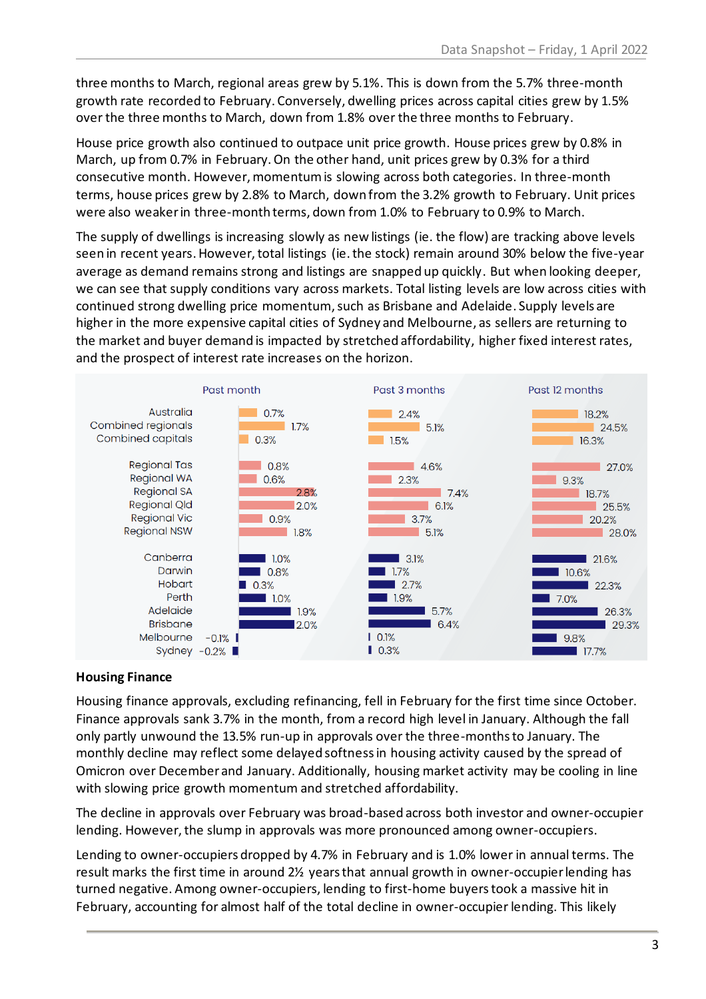three months to March, regional areas grew by 5.1%. This is down from the 5.7% three-month growth rate recorded to February. Conversely, dwelling prices across capital cities grew by 1.5% over the three months to March, down from 1.8% over the three months to February.

House price growth also continued to outpace unit price growth. House prices grew by 0.8% in March, up from 0.7% in February. On the other hand, unit prices grew by 0.3% for a third consecutive month. However, momentum is slowing across both categories. In three-month terms, house prices grew by 2.8% to March, down from the 3.2% growth to February. Unit prices were also weaker in three-month terms, down from 1.0% to February to 0.9% to March.

The supply of dwellings is increasing slowly as new listings (ie. the flow) are tracking above levels seen in recent years. However, total listings (ie. the stock) remain around 30% below the five-year average as demand remains strong and listings are snapped up quickly. But when looking deeper, we can see that supply conditions vary across markets. Total listing levels are low across cities with continued strong dwelling price momentum, such as Brisbane and Adelaide. Supply levels are higher in the more expensive capital cities of Sydney and Melbourne, as sellers are returning to the market and buyer demand is impacted by stretched affordability, higher fixed interest rates, and the prospect of interest rate increases on the horizon.



#### **Housing Finance**

Housing finance approvals, excluding refinancing, fell in February for the first time since October. Finance approvals sank 3.7% in the month, from a record high level in January. Although the fall only partly unwound the 13.5% run-up in approvals over the three-monthsto January. The monthly decline may reflect some delayed softness in housing activity caused by the spread of Omicron over December and January. Additionally, housing market activity may be cooling in line with slowing price growth momentum and stretched affordability.

The decline in approvals over February was broad-based across both investor and owner-occupier lending. However, the slump in approvals was more pronounced among owner-occupiers.

Lending to owner-occupiers dropped by 4.7% in February and is 1.0% lower in annual terms. The result marks the first time in around 2½ yearsthat annual growth in owner-occupier lending has turned negative. Among owner-occupiers, lending to first-home buyers took a massive hit in February, accounting for almost half of the total decline in owner-occupier lending. This likely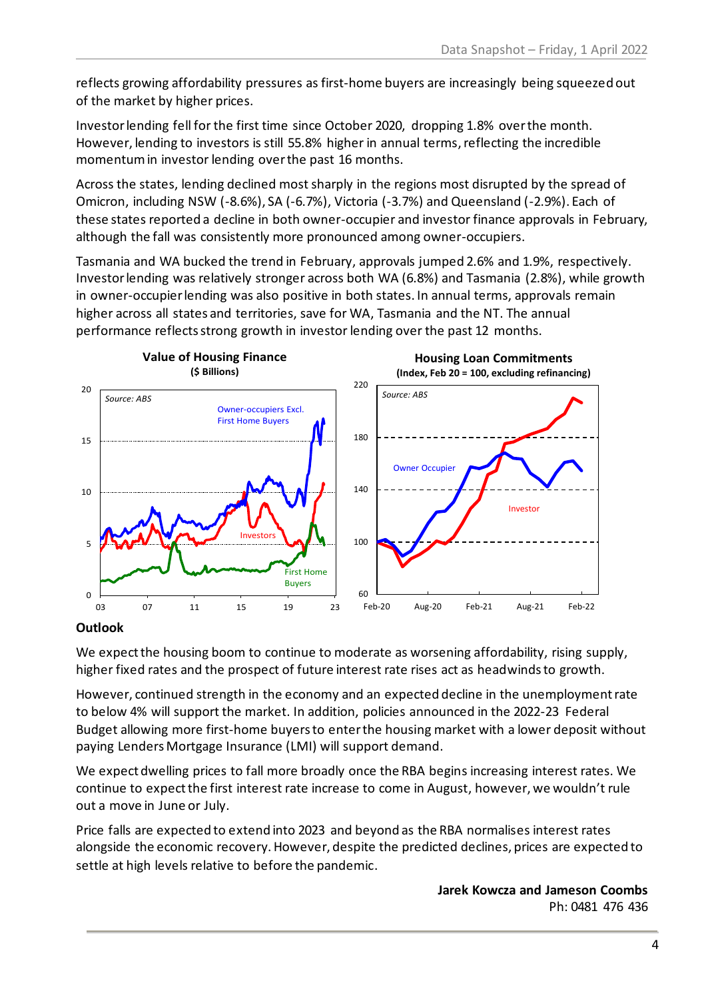reflects growing affordability pressures as first-home buyers are increasingly being squeezed out of the market by higher prices.

Investorlending fell for the first time since October 2020, dropping 1.8% over the month. However, lending to investors is still 55.8% higher in annual terms, reflecting the incredible momentum in investor lending over the past 16 months.

Across the states, lending declined most sharply in the regions most disrupted by the spread of Omicron, including NSW (-8.6%), SA (-6.7%), Victoria (-3.7%) and Queensland (-2.9%). Each of these states reported a decline in both owner-occupier and investor finance approvals in February, although the fall was consistently more pronounced among owner-occupiers.

Tasmania and WA bucked the trend in February, approvals jumped 2.6% and 1.9%, respectively. Investor lending was relatively stronger across both WA (6.8%) and Tasmania (2.8%), while growth in owner-occupier lending was also positive in both states. In annual terms, approvals remain higher across all states and territories, save for WA, Tasmania and the NT. The annual performance reflects strong growth in investor lending over the past 12 months.



#### **Outlook**

We expect the housing boom to continue to moderate as worsening affordability, rising supply, higher fixed rates and the prospect of future interest rate rises act as headwinds to growth.

However, continued strength in the economy and an expected decline in the unemployment rate to below 4% will support the market. In addition, policies announced in the 2022-23 Federal Budget allowing more first-home buyers to enter the housing market with a lower deposit without paying Lenders Mortgage Insurance (LMI) will support demand.

We expect dwelling prices to fall more broadly once the RBA begins increasing interest rates. We continue to expect the first interest rate increase to come in August, however, we wouldn't rule out a move in June or July.

Price falls are expected to extend into 2023 and beyond as the RBA normalises interest rates alongside the economic recovery. However, despite the predicted declines, prices are expected to settle at high levels relative to before the pandemic.

> **Jarek Kowcza and Jameson Coombs** Ph: 0481 476 436